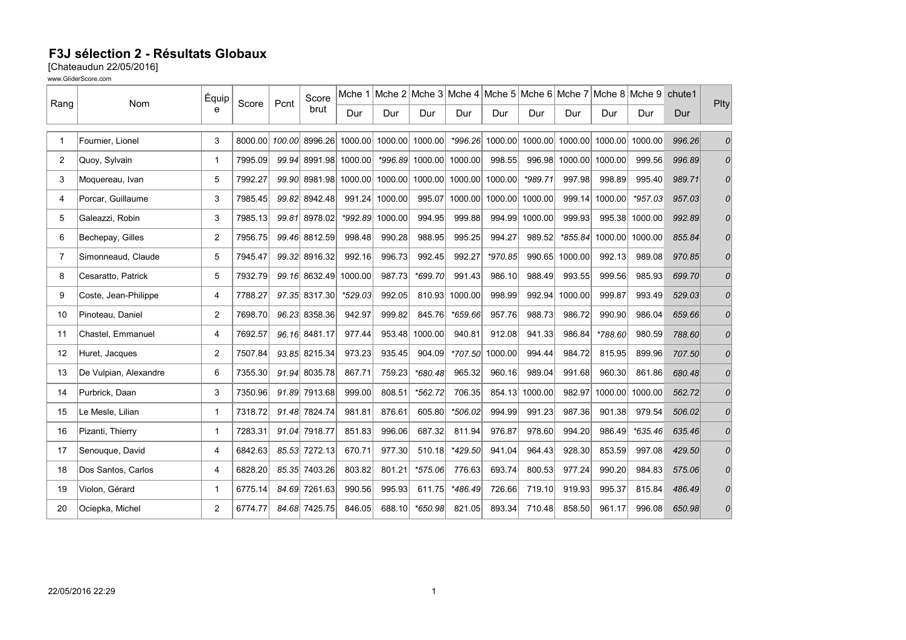## F3J sélection 2 - Résultats Globaux

[Chateaudun 22/05/2016]

www.GliderScore.com

| Rang           | Nom                   | Équip<br>e     | Score   | Pcnt   | Score<br>brut |           | Mche 1 Mche 2 Mche 3 Mche 4 Mche 5 Mche 6 Mche 7 Mche 8 Mche 9 |                         |           |                 |                                 |                |         |           | chute1 | Plty           |
|----------------|-----------------------|----------------|---------|--------|---------------|-----------|----------------------------------------------------------------|-------------------------|-----------|-----------------|---------------------------------|----------------|---------|-----------|--------|----------------|
|                |                       |                |         |        |               | Dur       | Dur                                                            | Dur                     | Dur       | Dur             | Dur                             | Dur            | Dur     | Dur       | Dur    |                |
| $\mathbf{1}$   | Fournier, Lionel      | 3              | 8000.00 | 100.00 | 8996.26       | 1000.00   | 1000.00                                                        | 1000.00                 |           |                 | *996.26 1000.00 1000.00 1000.00 |                | 1000.00 | 1000.00   | 996.26 | 0              |
| $\overline{2}$ | Quoy, Sylvain         | 1              | 7995.09 |        | 99.94 8991.98 | 1000.00   |                                                                | *996.89 1000.00 1000.00 |           | 998.55          |                                 | 996.98 1000.00 | 1000.00 | 999.56    | 996.89 | 0              |
| 3              | Moquereau, Ivan       | 5              | 7992.27 |        | 99.90 8981.98 | 1000.00   |                                                                | 1000.00 1000.00         |           | 1000.00 1000.00 | *989.71                         | 997.98         | 998.89  | 995.40    | 989.71 | $\overline{O}$ |
| 4              | Porcar, Guillaume     | 3              | 7985.45 |        | 99.82 8942.48 | 991.24    | 1000.00                                                        | 995.07                  |           |                 | 1000.00 1000.00 1000.00         | 999.14         | 1000.00 | $*957.03$ | 957.03 | 0              |
| 5              | Galeazzi, Robin       | 3              | 7985.13 |        | 99.81 8978.02 | $*992.89$ | 1000.00                                                        | 994.95                  | 999.88    |                 | 994.99 1000.00                  | 999.93         | 995.38  | 1000.00   | 992.89 | 0              |
| 6              | Bechepay, Gilles      | $\overline{c}$ | 7956.75 |        | 99.46 8812.59 | 998.48    | 990.28                                                         | 988.95                  | 995.25    | 994.27          | 989.52                          | $*855.84$      | 1000.00 | 1000.00   | 855.84 | $\overline{O}$ |
| $\overline{7}$ | Simonneaud, Claude    | 5              | 7945.47 |        | 99.32 8916.32 | 992.16    | 996.73                                                         | 992.45                  | 992.27    | $*970.85$       |                                 | 990.65 1000.00 | 992.13  | 989.08    | 970.85 | 0              |
| 8              | Cesaratto, Patrick    | 5              | 7932.79 |        | 99.16 8632.49 | 1000.00   | 987.73                                                         | *699.70                 | 991.43    | 986.10          | 988.49                          | 993.55         | 999.56  | 985.93    | 699.70 | 0              |
| 9              | Coste, Jean-Philippe  | 4              | 7788.27 |        | 97.35 8317.30 | *529.03   | 992.05                                                         | 810.93                  | 1000.00   | 998.99          | 992.94                          | 1000.00        | 999.87  | 993.49    | 529.03 | 0              |
| 10             | Pinoteau, Daniel      | $\overline{2}$ | 7698.70 |        | 96.23 8358.36 | 942.97    | 999.82                                                         | 845.76                  | $*659.66$ | 957.76          | 988.73                          | 986.72         | 990.90  | 986.04    | 659.66 | 0              |
| 11             | Chastel, Emmanuel     | 4              | 7692.57 |        | 96.16 8481.17 | 977.44    |                                                                | 953.48 1000.00          | 940.81    | 912.08          | 941.33                          | 986.84         | *788.60 | 980.59    | 788.60 | 0              |
| 12             | Huret, Jacques        | $\overline{2}$ | 7507.84 |        | 93.85 8215.34 | 973.23    | 935.45                                                         | 904.09                  | $*707.50$ | 1000.00         | 994.44                          | 984.72         | 815.95  | 899.96    | 707.50 | $\overline{O}$ |
| 13             | De Vulpian, Alexandre | 6              | 7355.30 |        | 91.94 8035.78 | 867.71    | 759.23                                                         | *680.48                 | 965.32    | 960.16          | 989.04                          | 991.68         | 960.30  | 861.86    | 680.48 | 0              |
| 14             | Purbrick, Daan        | 3              | 7350.96 |        | 91.89 7913.68 | 999.00    | 808.51                                                         | *562.72                 | 706.35    |                 | 854.13 1000.00                  | 982.97         | 1000.00 | 1000.00   | 562.72 | 0              |
| 15             | Le Mesle, Lilian      | $\mathbf{1}$   | 7318.72 |        | 91.48 7824.74 | 981.81    | 876.61                                                         | 605.80                  | *506.02   | 994.99          | 991.23                          | 987.36         | 901.38  | 979.54    | 506.02 | 01             |
| 16             | Pizanti, Thierry      | $\mathbf{1}$   | 7283.31 |        | 91.04 7918.77 | 851.83    | 996.06                                                         | 687.32                  | 811.94    | 976.87          | 978.60                          | 994.20         | 986.49  | $*635.46$ | 635.46 | 0              |
| 17             | Senouque, David       | 4              | 6842.63 |        | 85.53 7272.13 | 670.71    | 977.30                                                         | 510.18                  | $*429.50$ | 941.04          | 964.43                          | 928.30         | 853.59  | 997.08    | 429.50 | 0              |
| 18             | Dos Santos, Carlos    | 4              | 6828.20 |        | 85.35 7403.26 | 803.82    | 801.21                                                         | $*575.06$               | 776.63    | 693.74          | 800.53                          | 977.24         | 990.20  | 984.83    | 575.06 | 0              |
| 19             | Violon, Gérard        | 1              | 6775.14 |        | 84.69 7261.63 | 990.56    | 995.93                                                         | 611.75                  | $*486.49$ | 726.66          | 719.10                          | 919.93         | 995.37  | 815.84    | 486.49 | 0              |
| 20             | Ociepka, Michel       | $\overline{c}$ | 6774.77 |        | 84.68 7425.75 | 846.05    | 688.10                                                         | $*650.98$               | 821.05    | 893.34          | 710.48                          | 858.50         | 961.17  | 996.08    | 650.98 | 0              |